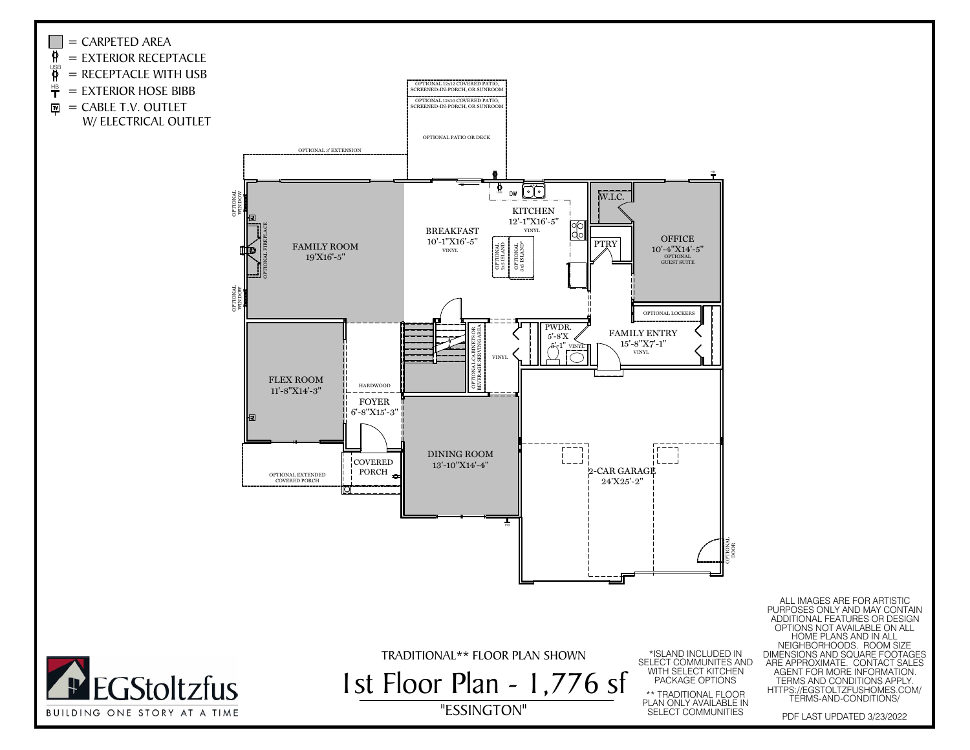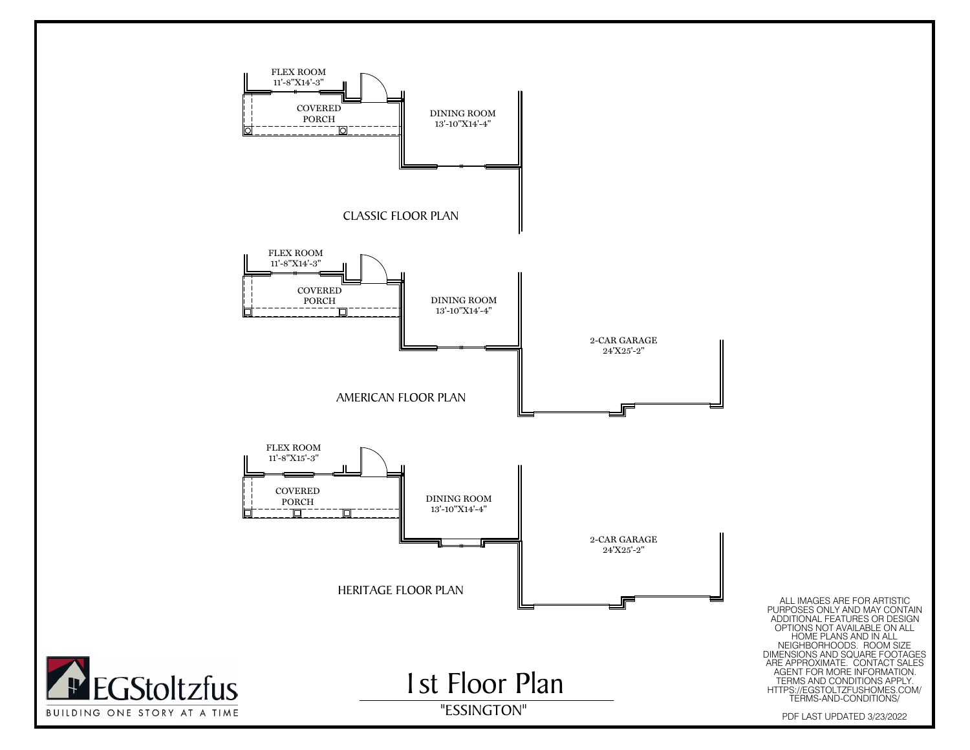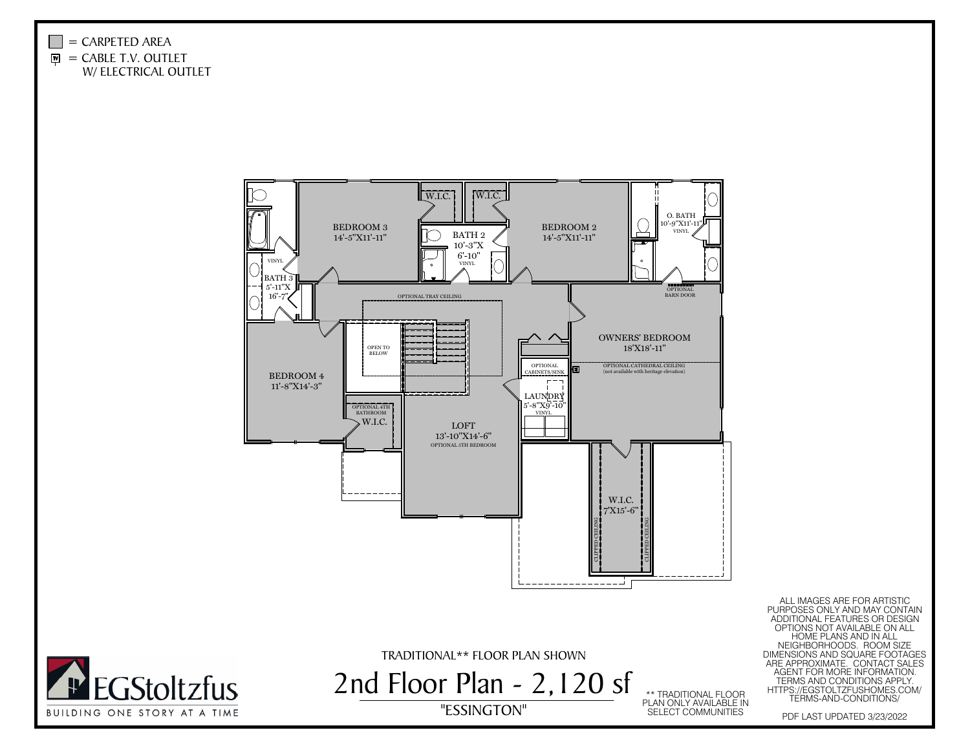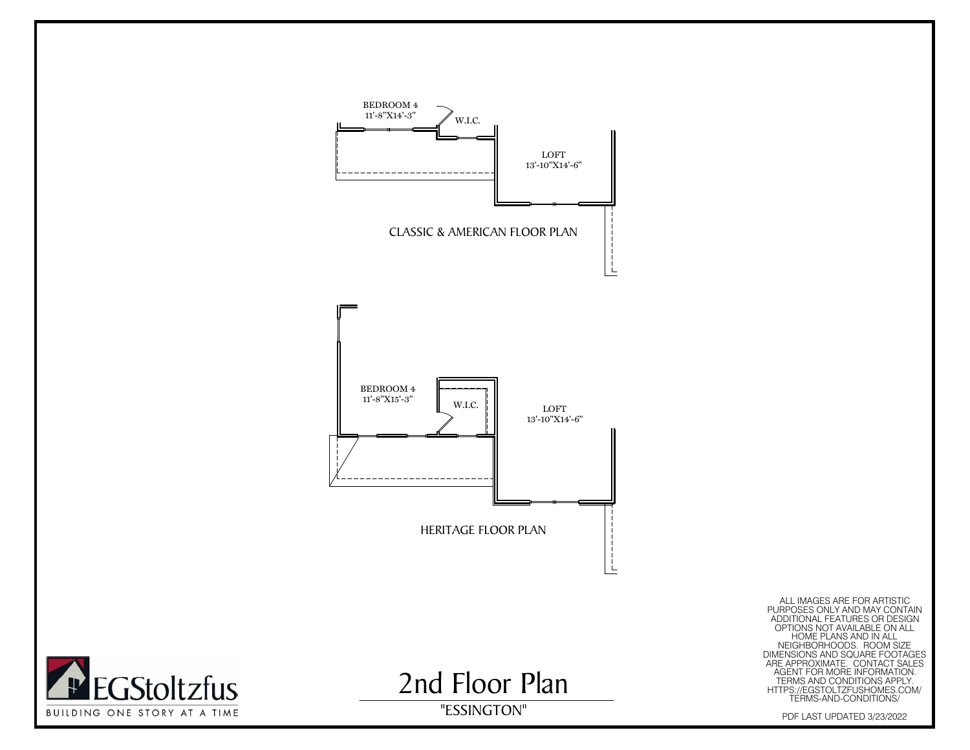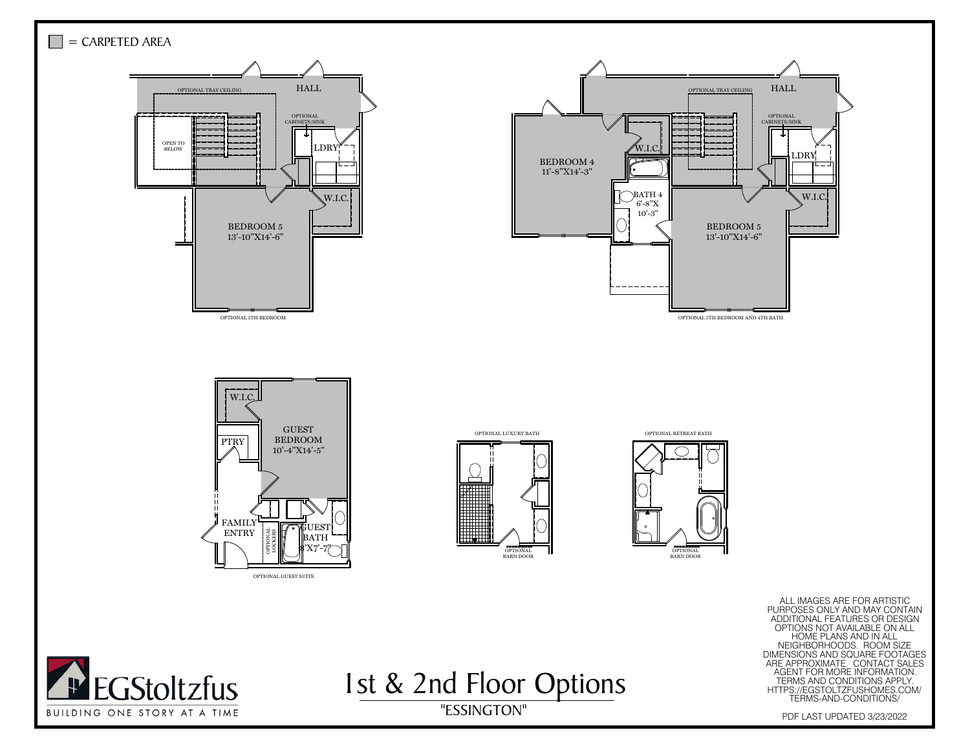



I st & 2nd Floor Options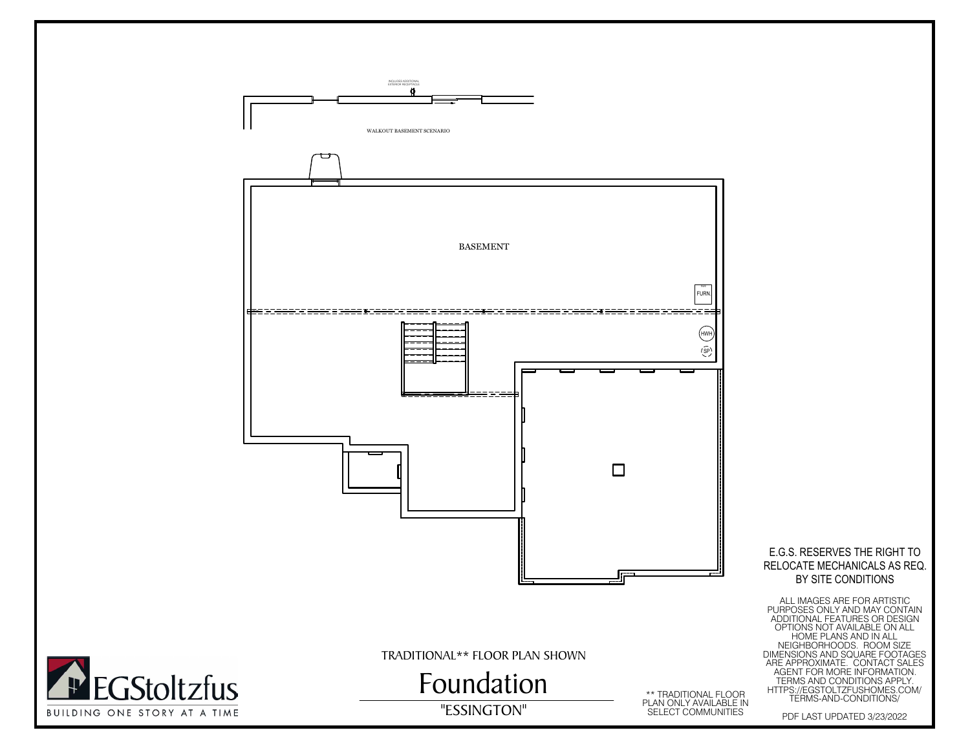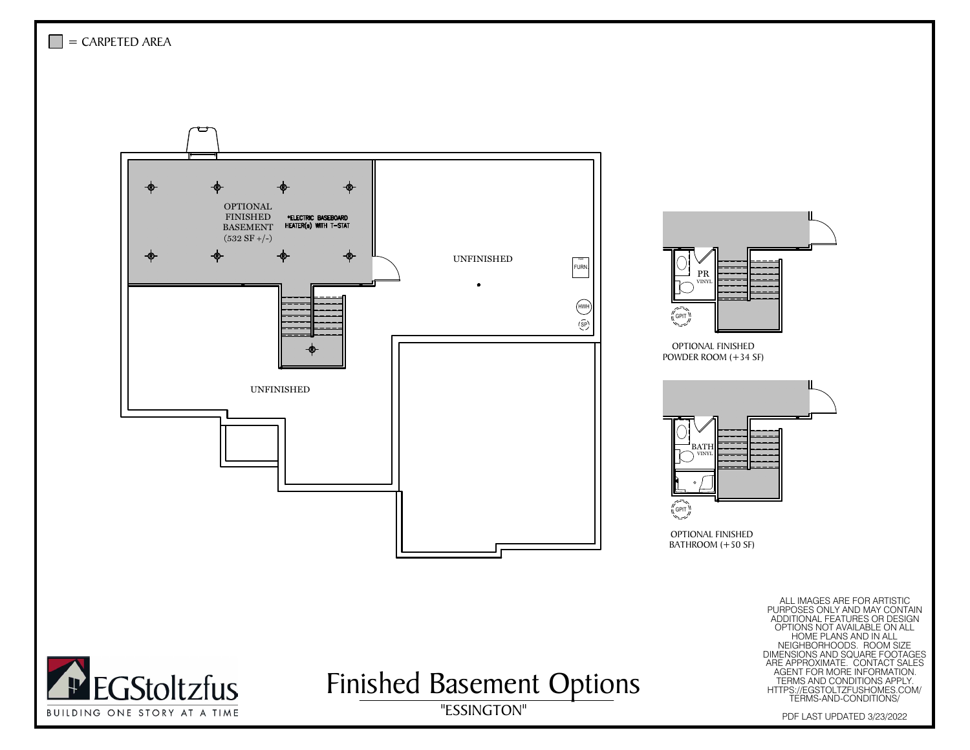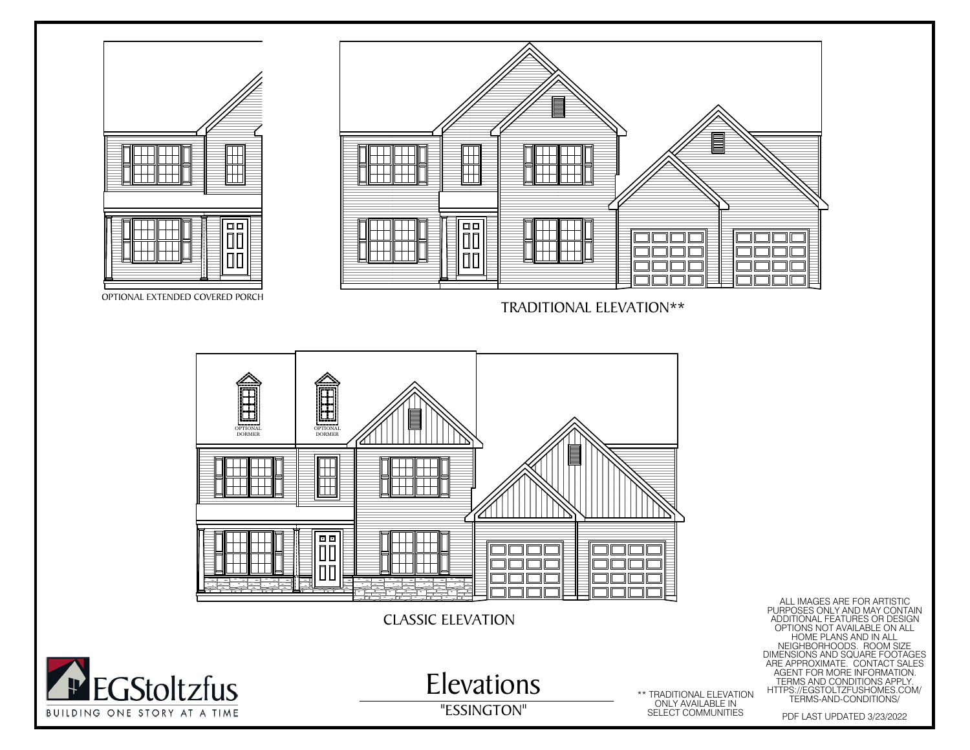